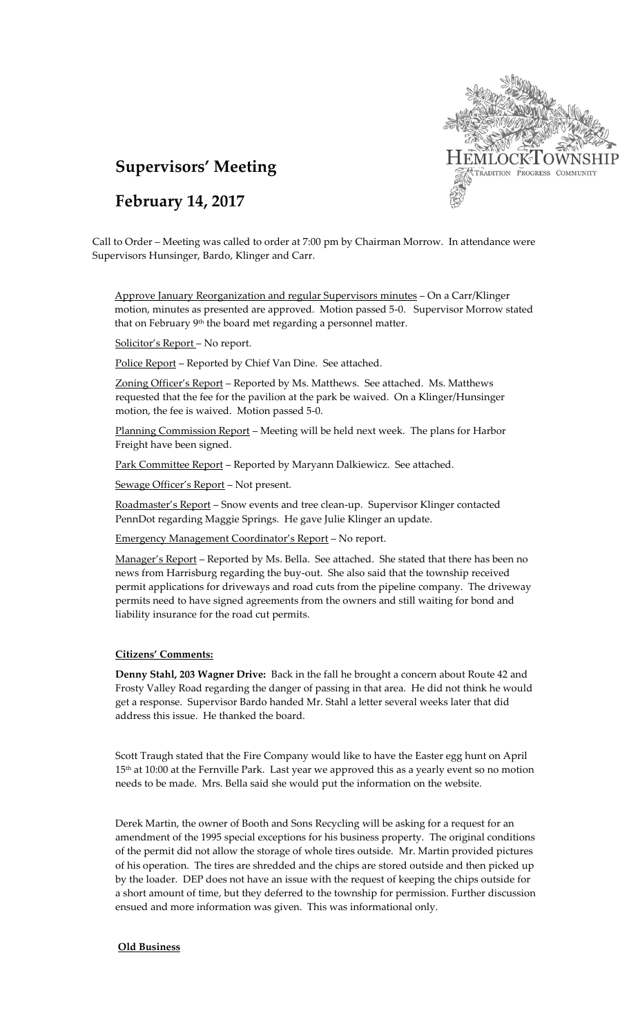

# **Supervisors' Meeting**

# **February 14, 2017**

Call to Order – Meeting was called to order at 7:00 pm by Chairman Morrow. In attendance were Supervisors Hunsinger, Bardo, Klinger and Carr.

Approve January Reorganization and regular Supervisors minutes - On a Carr/Klinger motion, minutes as presented are approved. Motion passed 5-0. Supervisor Morrow stated that on February 9<sup>th</sup> the board met regarding a personnel matter.

Solicitor's Report – No report.

Police Report - Reported by Chief Van Dine. See attached.

Zoning Officer's Report – Reported by Ms. Matthews. See attached. Ms. Matthews requested that the fee for the pavilion at the park be waived. On a Klinger/Hunsinger motion, the fee is waived. Motion passed 5-0.

Planning Commission Report – Meeting will be held next week. The plans for Harbor Freight have been signed.

Park Committee Report - Reported by Maryann Dalkiewicz. See attached.

Sewage Officer's Report – Not present.

Roadmaster's Report – Snow events and tree clean-up. Supervisor Klinger contacted PennDot regarding Maggie Springs. He gave Julie Klinger an update.

Emergency Management Coordinator's Report – No report.

Manager's Report - Reported by Ms. Bella. See attached. She stated that there has been no news from Harrisburg regarding the buy-out. She also said that the township received permit applications for driveways and road cuts from the pipeline company. The driveway permits need to have signed agreements from the owners and still waiting for bond and liability insurance for the road cut permits.

### **Citizens' Comments:**

**Denny Stahl, 203 Wagner Drive:** Back in the fall he brought a concern about Route 42 and Frosty Valley Road regarding the danger of passing in that area. He did not think he would get a response. Supervisor Bardo handed Mr. Stahl a letter several weeks later that did address this issue. He thanked the board.

Scott Traugh stated that the Fire Company would like to have the Easter egg hunt on April 15<sup>th</sup> at 10:00 at the Fernville Park. Last year we approved this as a yearly event so no motion needs to be made. Mrs. Bella said she would put the information on the website.

Derek Martin, the owner of Booth and Sons Recycling will be asking for a request for an amendment of the 1995 special exceptions for his business property. The original conditions of the permit did not allow the storage of whole tires outside. Mr. Martin provided pictures of his operation. The tires are shredded and the chips are stored outside and then picked up by the loader. DEP does not have an issue with the request of keeping the chips outside for a short amount of time, but they deferred to the township for permission. Further discussion ensued and more information was given. This was informational only.

#### **Old Business**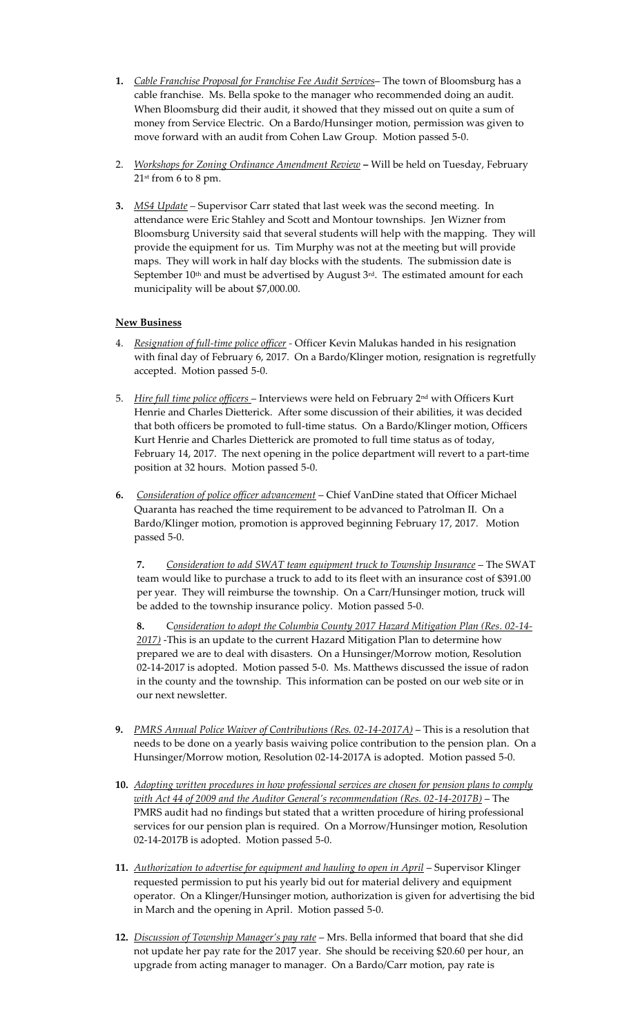- **1.** *Cable Franchise Proposal for Franchise Fee Audit Services* The town of Bloomsburg has a cable franchise. Ms. Bella spoke to the manager who recommended doing an audit. When Bloomsburg did their audit, it showed that they missed out on quite a sum of money from Service Electric. On a Bardo/Hunsinger motion, permission was given to move forward with an audit from Cohen Law Group. Motion passed 5-0.
- 2. *Workshops for Zoning Ordinance Amendment Review* **–** Will be held on Tuesday, February  $21<sup>st</sup>$  from 6 to 8 pm.
- **3.** *MS4 Update –* Supervisor Carr stated that last week was the second meeting. In attendance were Eric Stahley and Scott and Montour townships. Jen Wizner from Bloomsburg University said that several students will help with the mapping. They will provide the equipment for us. Tim Murphy was not at the meeting but will provide maps. They will work in half day blocks with the students. The submission date is September  $10<sup>th</sup>$  and must be advertised by August  $3<sup>rd</sup>$ . The estimated amount for each municipality will be about \$7,000.00.

## **New Business**

- 4. *Resignation of full-time police officer -* Officer Kevin Malukas handed in his resignation with final day of February 6, 2017. On a Bardo/Klinger motion, resignation is regretfully accepted. Motion passed 5-0.
- 5. *Hire full time police officers* Interviews were held on February 2nd with Officers Kurt Henrie and Charles Dietterick. After some discussion of their abilities, it was decided that both officers be promoted to full-time status. On a Bardo/Klinger motion, Officers Kurt Henrie and Charles Dietterick are promoted to full time status as of today, February 14, 2017. The next opening in the police department will revert to a part-time position at 32 hours. Motion passed 5-0.
- **6.** *Consideration of police officer advancement* Chief VanDine stated that Officer Michael Quaranta has reached the time requirement to be advanced to Patrolman II. On a Bardo/Klinger motion, promotion is approved beginning February 17, 2017. Motion passed 5-0.

**7.** *Consideration to add SWAT team equipment truck to Township Insurance* – The SWAT team would like to purchase a truck to add to its fleet with an insurance cost of \$391.00 per year. They will reimburse the township. On a Carr/Hunsinger motion, truck will be added to the township insurance policy. Motion passed 5-0.

**8.** C*onsideration to adopt the Columbia County 2017 Hazard Mitigation Plan (Res. 02-14- 2017)* -This is an update to the current Hazard Mitigation Plan to determine how prepared we are to deal with disasters. On a Hunsinger/Morrow motion, Resolution 02-14-2017 is adopted. Motion passed 5-0. Ms. Matthews discussed the issue of radon in the county and the township. This information can be posted on our web site or in our next newsletter.

- **9.** *PMRS Annual Police Waiver of Contributions (Res. 02-14-2017A)* This is a resolution that needs to be done on a yearly basis waiving police contribution to the pension plan. On a Hunsinger/Morrow motion, Resolution 02-14-2017A is adopted. Motion passed 5-0.
- **10.** *Adopting written procedures in how professional services are chosen for pension plans to comply with Act 44 of 2009 and the Auditor General's recommendation (Res. 02-14-2017B)* – The PMRS audit had no findings but stated that a written procedure of hiring professional services for our pension plan is required. On a Morrow/Hunsinger motion, Resolution 02-14-2017B is adopted. Motion passed 5-0.
- **11.** *Authorization to advertise for equipment and hauling to open in April* Supervisor Klinger requested permission to put his yearly bid out for material delivery and equipment operator. On a Klinger/Hunsinger motion, authorization is given for advertising the bid in March and the opening in April. Motion passed 5-0.
- **12.** *Discussion of Township Manager's pay rate* Mrs. Bella informed that board that she did not update her pay rate for the 2017 year. She should be receiving \$20.60 per hour, an upgrade from acting manager to manager. On a Bardo/Carr motion, pay rate is